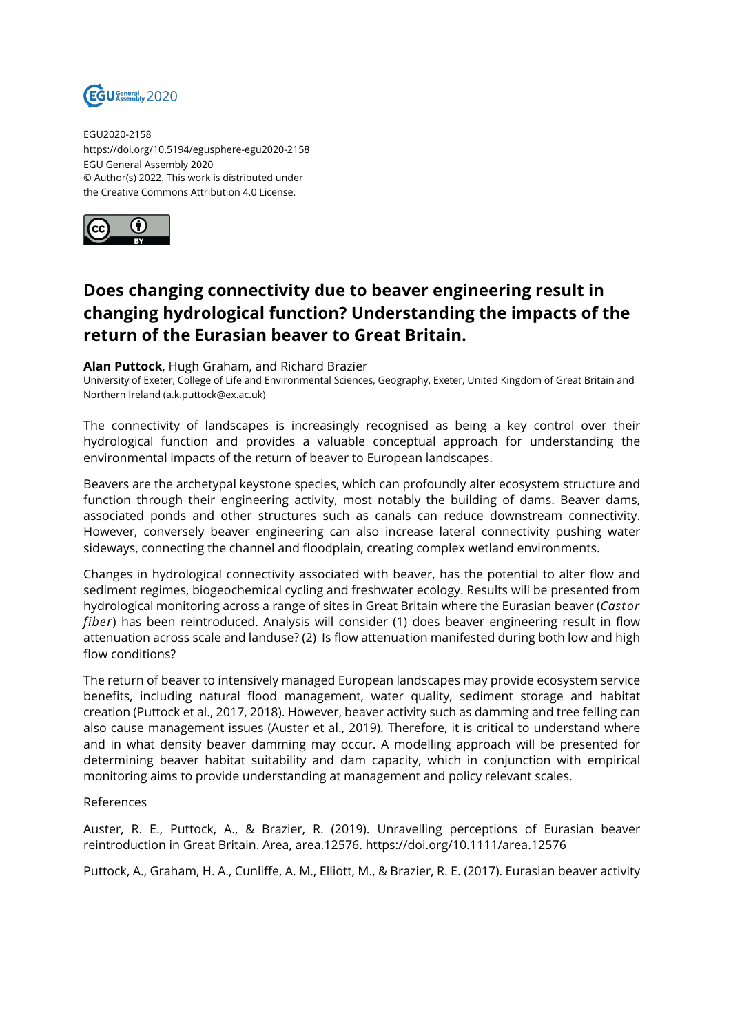

EGU2020-2158 https://doi.org/10.5194/egusphere-egu2020-2158 EGU General Assembly 2020 © Author(s) 2022. This work is distributed under the Creative Commons Attribution 4.0 License.



## **Does changing connectivity due to beaver engineering result in changing hydrological function? Understanding the impacts of the return of the Eurasian beaver to Great Britain.**

## **Alan Puttock**, Hugh Graham, and Richard Brazier

University of Exeter, College of Life and Environmental Sciences, Geography, Exeter, United Kingdom of Great Britain and Northern Ireland (a.k.puttock@ex.ac.uk)

The connectivity of landscapes is increasingly recognised as being a key control over their hydrological function and provides a valuable conceptual approach for understanding the environmental impacts of the return of beaver to European landscapes.

Beavers are the archetypal keystone species, which can profoundly alter ecosystem structure and function through their engineering activity, most notably the building of dams. Beaver dams, associated ponds and other structures such as canals can reduce downstream connectivity. However, conversely beaver engineering can also increase lateral connectivity pushing water sideways, connecting the channel and floodplain, creating complex wetland environments.

Changes in hydrological connectivity associated with beaver, has the potential to alter flow and sediment regimes, biogeochemical cycling and freshwater ecology. Results will be presented from hydrological monitoring across a range of sites in Great Britain where the Eurasian beaver (*Castor fiber*) has been reintroduced. Analysis will consider (1) does beaver engineering result in flow attenuation across scale and landuse? (2) Is flow attenuation manifested during both low and high flow conditions?

The return of beaver to intensively managed European landscapes may provide ecosystem service benefits, including natural flood management, water quality, sediment storage and habitat creation (Puttock et al., 2017, 2018). However, beaver activity such as damming and tree felling can also cause management issues (Auster et al., 2019). Therefore, it is critical to understand where and in what density beaver damming may occur. A modelling approach will be presented for determining beaver habitat suitability and dam capacity, which in conjunction with empirical monitoring aims to provide understanding at management and policy relevant scales.

## References

Auster, R. E., Puttock, A., & Brazier, R. (2019). Unravelling perceptions of Eurasian beaver reintroduction in Great Britain. Area, area.12576. https://doi.org/10.1111/area.12576

Puttock, A., Graham, H. A., Cunliffe, A. M., Elliott, M., & Brazier, R. E. (2017). Eurasian beaver activity